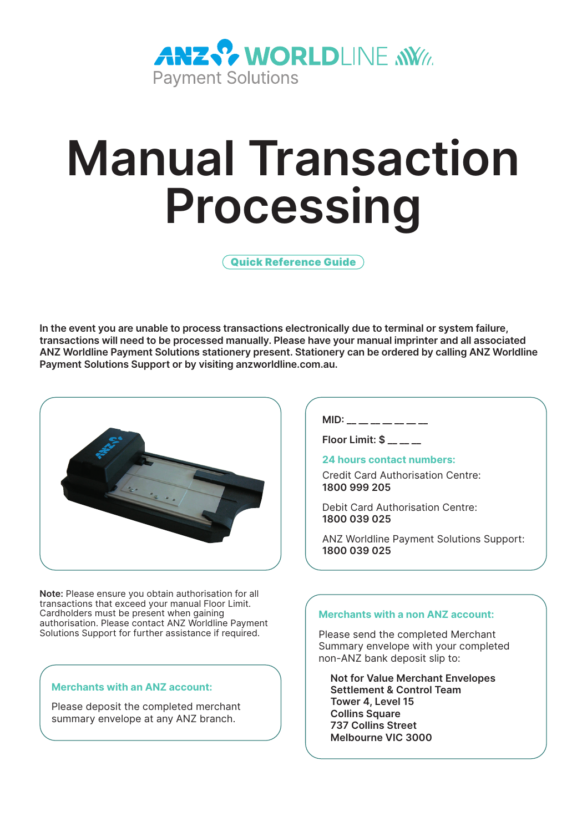

# **Manual Transaction Processing**

Quick Reference Guide

**In the event you are unable to process transactions electronically due to terminal or system failure, transactions will need to be processed manually. Please have your manual imprinter and all associated ANZ Worldline Payment Solutions stationery present. Stationery can be ordered by calling ANZ Worldline Payment Solutions Support or by visiting anzworldline.com.au.**



**Note:** Please ensure you obtain authorisation for all transactions that exceed your manual Floor Limit. Cardholders must be present when gaining authorisation. Please contact ANZ Worldline Payment Solutions Support for further assistance if required.

# **Merchants with an ANZ account:**

Please deposit the completed merchant summary envelope at any ANZ branch.

**MID:**  $\blacksquare$ 

**Floor Limit: \$ \_\_ \_\_ \_\_** 

## **24 hours contact numbers:**

Credit Card Authorisation Centre: **1800 999 205**

Debit Card Authorisation Centre: **1800 039 025**

ANZ Worldline Payment Solutions Support: **1800 039 025**

# **Merchants with a non ANZ account:**

Please send the completed Merchant Summary envelope with your completed non-ANZ bank deposit slip to:

**Not for Value Merchant Envelopes Settlement & Control Team Tower 4, Level 15 Collins Square 737 Collins Street Melbourne VIC 3000**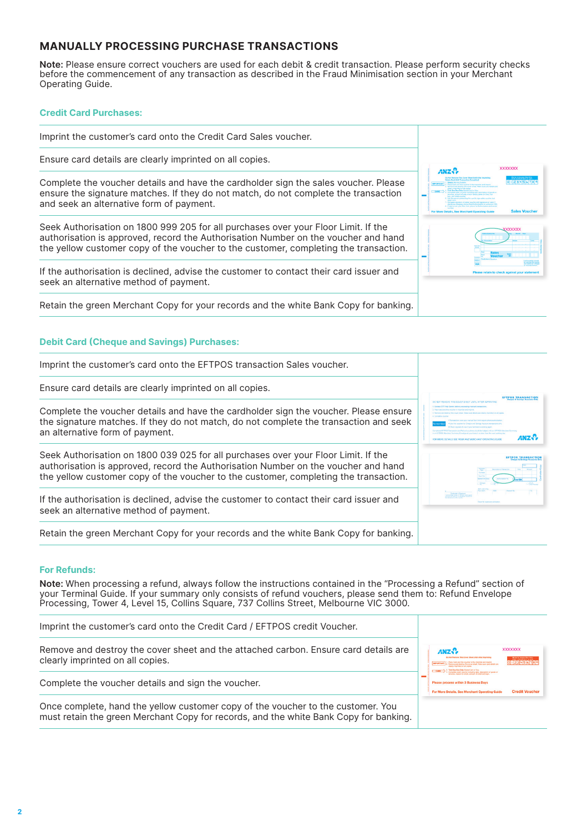# **MANUALLY PROCESSING PURCHASE TRANSACTIONS**

**Note:** Please ensure correct vouchers are used for each debit & credit transaction. Please perform security checks<br>before the commencement of any transaction as described in the Fraud Minimisation section in your Merchant Operating Guide.

#### **Credit Card Purchases:**

| Imprint the customer's card onto the Credit Card Sales voucher.                                                                                                                                                                                                  |                                                                                  |  |
|------------------------------------------------------------------------------------------------------------------------------------------------------------------------------------------------------------------------------------------------------------------|----------------------------------------------------------------------------------|--|
| Ensure card details are clearly imprinted on all copies.                                                                                                                                                                                                         | <b>XXXXXXX</b>                                                                   |  |
| Complete the voucher details and have the cardholder sign the sales voucher. Please<br>ensure the signature matches. If they do not match, do not complete the transaction<br>and seek an alternative form of payment.                                           | ANZS.<br>11224561<br><b>Sales Vouche</b><br>ar Maro Datalis, San Marchael Onaral |  |
| Seek Authorisation on 1800 999 205 for all purchases over your Floor Limit. If the<br>authorisation is approved, record the Authorisation Number on the voucher and hand<br>the yellow customer copy of the voucher to the customer, completing the transaction. |                                                                                  |  |
| If the authorisation is declined, advise the customer to contact their card issuer and<br>seek an alternative method of payment.                                                                                                                                 |                                                                                  |  |
| Retain the green Merchant Copy for your records and the white Bank Copy for banking.                                                                                                                                                                             |                                                                                  |  |

# **Debit Card (Cheque and Savings) Purchases:**

| Imprint the customer's card onto the EFTPOS transaction Sales voucher.                                                                                                                                                                                           |                                                                                                                                                                                                                          |
|------------------------------------------------------------------------------------------------------------------------------------------------------------------------------------------------------------------------------------------------------------------|--------------------------------------------------------------------------------------------------------------------------------------------------------------------------------------------------------------------------|
| Ensure card details are clearly imprinted on all copies.                                                                                                                                                                                                         | <b>EFTPOS TRANSACT</b>                                                                                                                                                                                                   |
| Complete the voucher details and have the cardholder sign the voucher. Please ensure<br>the signature matches. If they do not match, do not complete the transaction and seek<br>an alternative form of payment.                                                 | Because and destroy the scient sheet. Make your details we check invested by all com-<br><b>Secretary and what moved Manitosh are shown a showed</b><br>ANZ S<br>YOU MAYOR OKTAIN SISKE WOULD AND MEDICIANT OPERATING CA |
| Seek Authorisation on 1800 039 025 for all purchases over your Floor Limit. If the<br>authorisation is approved, record the Authorisation Number on the voucher and hand<br>the yellow customer copy of the voucher to the customer, completing the transaction. |                                                                                                                                                                                                                          |
| If the authorisation is declined, advise the customer to contact their card issuer and<br>seek an alternative method of payment.                                                                                                                                 | our for substant confirms                                                                                                                                                                                                |
| Retain the green Merchant Copy for your records and the white Bank Copy for banking.                                                                                                                                                                             |                                                                                                                                                                                                                          |

#### **For Refunds:**

**Note:** When processing a refund, always follow the instructions contained in the "Processing a Refund" section of your Terminal Guide. If your summary only consists of refund vouchers, please send them to: Refund Envelope Processing, Tower 4, Level 15, Collins Square, 737 Collins Street, Melbourne VIC 3000.

| Imprint the customer's card onto the Credit Card / EFTPOS credit Voucher.                                                                                                 |                                                                                                                      |                                    |
|---------------------------------------------------------------------------------------------------------------------------------------------------------------------------|----------------------------------------------------------------------------------------------------------------------|------------------------------------|
| Remove and destroy the cover sheet and the attached carbon. Ensure card details are<br>clearly imprinted on all copies.                                                   | ANZS.<br>1. Fork One Box Only Marketined or Fine.<br>1. Complete credit souther installed ARA description of another | <b>XXXXXXX</b><br><b>CO2315608</b> |
| Complete the voucher details and sign the voucher.                                                                                                                        | Please process within 3 Business Days<br>For More Details, See Merchant Operating Guide                              | <b>Credit Voucher</b>              |
| Once complete, hand the yellow customer copy of the voucher to the customer. You<br>must retain the green Merchant Copy for records, and the white Bank Copy for banking. |                                                                                                                      |                                    |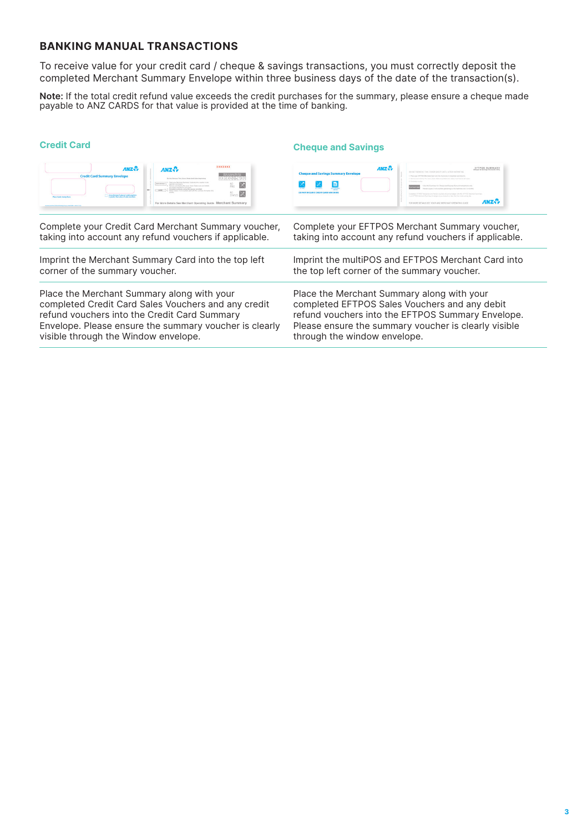# **BANKING MANUAL TRANSACTIONS**

To receive value for your credit card / cheque & savings transactions, you must correctly deposit the completed Merchant Summary Envelope within three business days of the date of the transaction(s).

**Note:** If the total credit refund value exceeds the credit purchases for the summary, please ensure a cheque made payable to ANZ CARDS for that value is provided at the time of banking.

| <b>Credit Card</b>                                                                                                                                                                                                                                                                                                                  | <b>Cheque and Savings</b>                                                                                                                                |  |  |
|-------------------------------------------------------------------------------------------------------------------------------------------------------------------------------------------------------------------------------------------------------------------------------------------------------------------------------------|----------------------------------------------------------------------------------------------------------------------------------------------------------|--|--|
| <b>XXXXXXX</b><br>ANZS.<br>ANZ <sup>2</sup><br><b>Credit Card Summary Envelope</b><br>1289856780<br>In his famous Prix Sourc Street and after teaching<br>$\times$<br><b>American and market</b><br><b>Burnst and Angles The</b><br><b>Back South of arms San</b><br>For More Details See Merchant Operating Guide Merchant Summary | ANZ <sup>2</sup><br><b>EFTPOS SUMMARY</b><br><b>Cheque and Savings Summary Envelope</b><br>ANZ.<br>STA MOST DESAIN SEE VINIE ANT MENTANY OPERATIVE CLIPS |  |  |
| Complete your Credit Card Merchant Summary voucher,                                                                                                                                                                                                                                                                                 | Complete your EFTPOS Merchant Summary voucher,                                                                                                           |  |  |
| taking into account any refund vouchers if applicable.                                                                                                                                                                                                                                                                              | taking into account any refund vouchers if applicable.                                                                                                   |  |  |
| Imprint the Merchant Summary Card into the top left                                                                                                                                                                                                                                                                                 | Imprint the multiPOS and EFTPOS Merchant Card into                                                                                                       |  |  |
| corner of the summary voucher.                                                                                                                                                                                                                                                                                                      | the top left corner of the summary voucher.                                                                                                              |  |  |
| Place the Merchant Summary along with your                                                                                                                                                                                                                                                                                          | Place the Merchant Summary along with your                                                                                                               |  |  |
| completed Credit Card Sales Vouchers and any credit                                                                                                                                                                                                                                                                                 | completed EFTPOS Sales Vouchers and any debit                                                                                                            |  |  |
| refund vouchers into the Credit Card Summary                                                                                                                                                                                                                                                                                        | refund vouchers into the EFTPOS Summary Envelope.                                                                                                        |  |  |
| Envelope. Please ensure the summary voucher is clearly                                                                                                                                                                                                                                                                              | Please ensure the summary voucher is clearly visible                                                                                                     |  |  |
| visible through the Window envelope.                                                                                                                                                                                                                                                                                                | through the window envelope.                                                                                                                             |  |  |